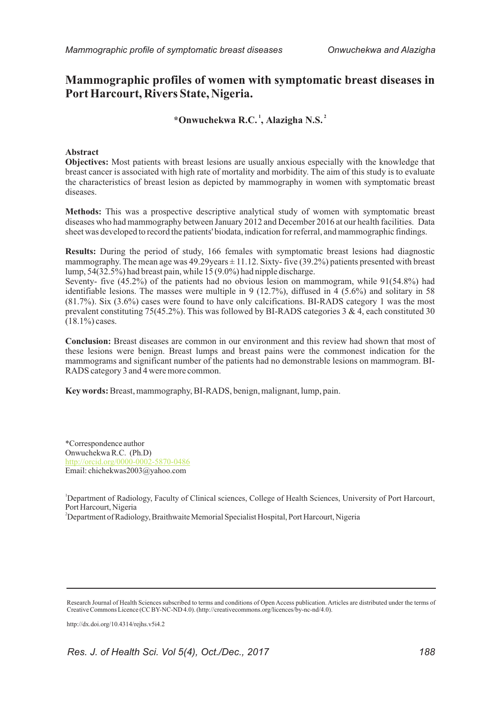# **Mammographic profiles of women with symptomatic breast diseases in Port Harcourt, Rivers State, Nigeria.**

## **1 2 \*Onwuchekwa R.C. , Alazigha N.S.**

#### **Abstract**

**Objectives:** Most patients with breast lesions are usually anxious especially with the knowledge that breast cancer is associated with high rate of mortality and morbidity. The aim of this study is to evaluate the characteristics of breast lesion as depicted by mammography in women with symptomatic breast diseases.

**Methods:** This was a prospective descriptive analytical study of women with symptomatic breast diseases who had mammography between January 2012 and December 2016 at our health facilities. Data sheet was developed to record the patients' biodata, indication for referral, and mammographic findings.

**Results:** During the period of study, 166 females with symptomatic breast lesions had diagnostic mammography. The mean age was  $49.29$ years  $\pm 11.12$ . Sixty- five (39.2%) patients presented with breast lump, 54(32.5%) had breast pain, while 15 (9.0%) had nipple discharge.

Seventy- five (45.2%) of the patients had no obvious lesion on mammogram, while 91(54.8%) had identifiable lesions. The masses were multiple in 9 (12.7%), diffused in 4 (5.6%) and solitary in 58 (81.7%). Six (3.6%) cases were found to have only calcifications. BI-RADS category 1 was the most prevalent constituting 75(45.2%). This was followed by BI-RADS categories 3 & 4, each constituted 30 (18.1%) cases.

**Conclusion:** Breast diseases are common in our environment and this review had shown that most of these lesions were benign. Breast lumps and breast pains were the commonest indication for the mammograms and significant number of the patients had no demonstrable lesions on mammogram. BI-RADS category 3 and 4 were more common.

**Key words:** Breast, mammography, BI-RADS, benign, malignant, lump, pain.

\*Correspondence author Onwuchekwa R.C. (Ph.D) Email: chichekwas2003@yahoo.com http://orcid.org/0000-0002-5870-0486

<sup>1</sup>Department of Radiology, Faculty of Clinical sciences, College of Health Sciences, University of Port Harcourt, Port Harcourt, Nigeria

<sup>2</sup>Department of Radiology, Braithwaite Memorial Specialist Hospital, Port Harcourt, Nigeria

http://dx.doi.org/10.4314/rejhs.v5i4.2

Research Journal of Health Sciences subscribed to terms and conditions of Open Access publication. Articles are distributed under the terms of Creative Commons Licence (CC BY-NC-ND 4.0). (http://creativecommons.org/licences/by-nc-nd/4.0).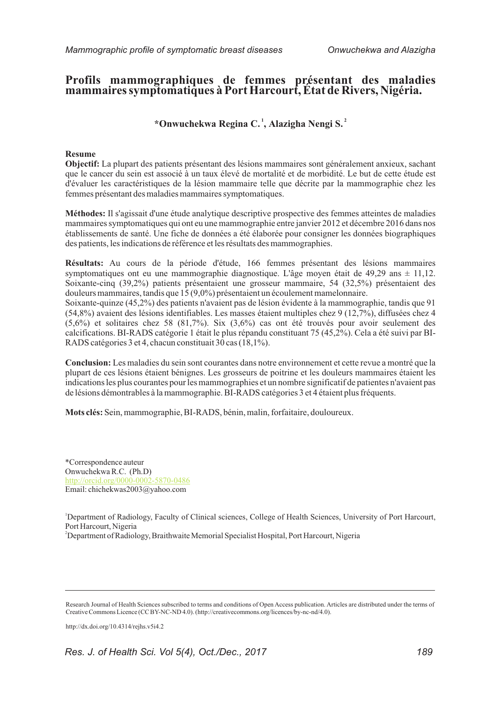## **Profils mammographiques de femmes présentant des maladies mammaires symptomatiques à Port Harcourt, État de Rivers, Nigéria.**

 **1 2 \*Onwuchekwa Regina C. , Alazigha Nengi S.**

### **Resume**

**Objectif:** La plupart des patients présentant des lésions mammaires sont généralement anxieux, sachant que le cancer du sein est associé à un taux élevé de mortalité et de morbidité. Le but de cette étude est d'évaluer les caractéristiques de la lésion mammaire telle que décrite par la mammographie chez les femmes présentant des maladies mammaires symptomatiques.

**Méthodes:** Il s'agissait d'une étude analytique descriptive prospective des femmes atteintes de maladies mammaires symptomatiques qui ont eu une mammographie entre janvier 2012 et décembre 2016 dans nos établissements de santé. Une fiche de données a été élaborée pour consigner les données biographiques des patients, les indications de référence et les résultats des mammographies.

**Résultats:** Au cours de la période d'étude, 166 femmes présentant des lésions mammaires symptomatiques ont eu une mammographie diagnostique. L'âge moyen était de 49,29 ans  $\pm$  11,12. Soixante-cinq (39,2%) patients présentaient une grosseur mammaire, 54 (32,5%) présentaient des douleurs mammaires, tandis que 15 (9,0%) présentaient un écoulement mamelonnaire. Soixante-quinze (45,2%) des patients n'avaient pas de lésion évidente à la mammographie, tandis que 91 (54,8%) avaient des lésions identifiables. Les masses étaient multiples chez 9 (12,7%), diffusées chez 4 (5,6%) et solitaires chez 58 (81,7%). Six (3,6%) cas ont été trouvés pour avoir seulement des calcifications. BI-RADS catégorie 1 était le plus répandu constituant 75 (45,2%). Cela a été suivi par BI-

**Conclusion:** Les maladies du sein sont courantes dans notre environnement et cette revue a montré que la plupart de ces lésions étaient bénignes. Les grosseurs de poitrine et les douleurs mammaires étaient les indications les plus courantes pour les mammographies et un nombre significatif de patientes n'avaient pas de lésions démontrables à la mammographie. BI-RADS catégories 3 et 4 étaient plus fréquents.

**Mots clés:** Sein, mammographie, BI-RADS, bénin, malin, forfaitaire, douloureux.

RADS catégories 3 et 4, chacun constituait 30 cas (18,1%).

\*Correspondence auteur Onwuchekwa R.C. (Ph.D) Email: chichekwas2003@yahoo.com http://orcid.org/0000-0002-5870-0486

<sup>1</sup>Department of Radiology, Faculty of Clinical sciences, College of Health Sciences, University of Port Harcourt, Port Harcourt, Nigeria

<sup>2</sup>Department of Radiology, Braithwaite Memorial Specialist Hospital, Port Harcourt, Nigeria

http://dx.doi.org/10.4314/rejhs.v5i4.2

Research Journal of Health Sciences subscribed to terms and conditions of Open Access publication. Articles are distributed under the terms of Creative Commons Licence (CC BY-NC-ND 4.0). (http://creativecommons.org/licences/by-nc-nd/4.0).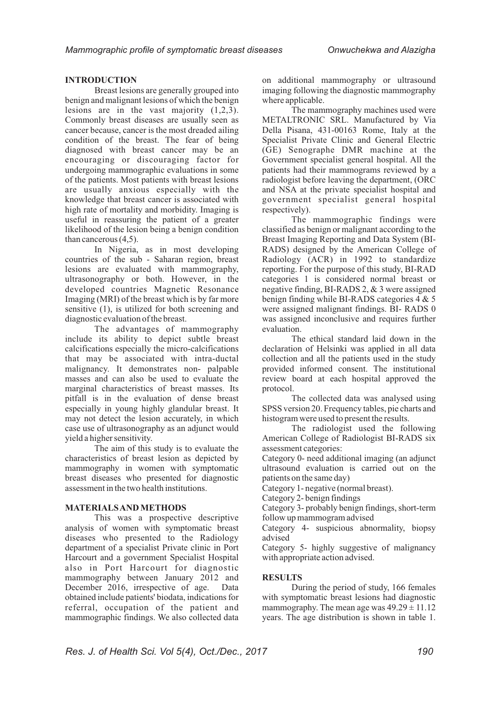## **INTRODUCTION**

Breast lesions are generally grouped into benign and malignant lesions of which the benign lesions are in the vast majority (1,2,3). Commonly breast diseases are usually seen as cancer because, cancer is the most dreaded ailing condition of the breast. The fear of being diagnosed with breast cancer may be an encouraging or discouraging factor for undergoing mammographic evaluations in some of the patients. Most patients with breast lesions are usually anxious especially with the knowledge that breast cancer is associated with high rate of mortality and morbidity. Imaging is useful in reassuring the patient of a greater likelihood of the lesion being a benign condition than cancerous (4,5).

In Nigeria, as in most developing countries of the sub - Saharan region, breast lesions are evaluated with mammography, ultrasonography or both. However, in the developed countries Magnetic Resonance Imaging (MRI) of the breast which is by far more sensitive (1), is utilized for both screening and diagnostic evaluation of the breast.

The advantages of mammography include its ability to depict subtle breast calcifications especially the micro-calcifications that may be associated with intra-ductal malignancy. It demonstrates non- palpable masses and can also be used to evaluate the marginal characteristics of breast masses. Its pitfall is in the evaluation of dense breast especially in young highly glandular breast. It may not detect the lesion accurately, in which case use of ultrasonography as an adjunct would yield a higher sensitivity.

The aim of this study is to evaluate the characteristics of breast lesion as depicted by mammography in women with symptomatic breast diseases who presented for diagnostic assessment in the two health institutions.

#### **MATERIALS AND METHODS**

This was a prospective descriptive analysis of women with symptomatic breast diseases who presented to the Radiology department of a specialist Private clinic in Port Harcourt and a government Specialist Hospital also in Port Harcourt for diagnostic mammography between January 2012 and December 2016, irrespective of age. Data obtained include patients' biodata, indications for referral, occupation of the patient and mammographic findings. We also collected data

on additional mammography or ultrasound imaging following the diagnostic mammography where applicable.

The mammography machines used were METALTRONIC SRL. Manufactured by Via Della Pisana, 431-00163 Rome, Italy at the Specialist Private Clinic and General Electric (GE) Senographe DMR machine at the Government specialist general hospital. All the patients had their mammograms reviewed by a radiologist before leaving the department, (ORC and NSA at the private specialist hospital and government specialist general hospital respectively).

The mammographic findings were classified as benign or malignant according to the Breast Imaging Reporting and Data System (BI-RADS) designed by the American College of Radiology (ACR) in 1992 to standardize reporting. For the purpose of this study, BI-RAD categories 1 is considered normal breast or negative finding, BI-RADS 2, & 3 were assigned benign finding while BI-RADS categories 4 & 5 were assigned malignant findings. BI- RADS 0 was assigned inconclusive and requires further evaluation.

The ethical standard laid down in the declaration of Helsinki was applied in all data collection and all the patients used in the study provided informed consent. The institutional review board at each hospital approved the protocol.

The collected data was analysed using SPSS version 20. Frequency tables, pie charts and histogram were used to present the results.

The radiologist used the following American College of Radiologist BI-RADS six assessment categories:

Category 0- need additional imaging (an adjunct ultrasound evaluation is carried out on the patients on the same day)

Category 1- negative (normal breast).

Category 2- benign findings

Category 3- probably benign findings, short-term follow up mammogram advised

Category 4- suspicious abnormality, biopsy advised

Category 5- highly suggestive of malignancy with appropriate action advised.

## **RESULTS**

During the period of study, 166 females with symptomatic breast lesions had diagnostic mammography. The mean age was  $49.29 \pm 11.12$ years. The age distribution is shown in table 1.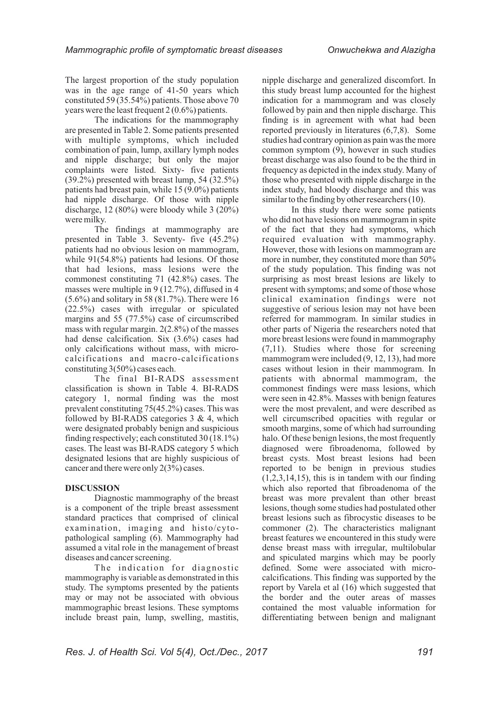The largest proportion of the study population was in the age range of 41-50 years which constituted 59 (35.54%) patients. Those above 70 years were the least frequent 2 (0.6%) patients.

The indications for the mammography are presented in Table 2. Some patients presented with multiple symptoms, which included combination of pain, lump, axillary lymph nodes and nipple discharge; but only the major complaints were listed. Sixty- five patients (39.2%) presented with breast lump, 54 (32.5%) patients had breast pain, while 15 (9.0%) patients had nipple discharge. Of those with nipple discharge, 12 (80%) were bloody while 3 (20%) were milky.

The findings at mammography are presented in Table 3. Seventy- five (45.2%) patients had no obvious lesion on mammogram, while  $91(54.8%)$  patients had lesions. Of those that had lesions, mass lesions were the commonest constituting 71 (42.8%) cases. The masses were multiple in 9 (12.7%), diffused in 4  $(5.6\%)$  and solitary in 58 (81.7%). There were 16 (22.5%) cases with irregular or spiculated margins and 55 (77.5%) case of circumscribed mass with regular margin. 2(2.8%) of the masses had dense calcification. Six (3.6%) cases had only calcifications without mass, with microcalcifications and macro-calcifications constituting 3(50%) cases each.

The final BI-RADS assessment classification is shown in Table 4. BI-RADS category 1, normal finding was the most prevalent constituting 75(45.2%) cases. This was followed by BI-RADS categories  $3 \& 4$ , which were designated probably benign and suspicious finding respectively; each constituted 30 (18.1%) cases. The least was BI-RADS category 5 which designated lesions that are highly suspicious of cancer and there were only 2(3%) cases.

#### **DISCUSSION**

Diagnostic mammography of the breast is a component of the triple breast assessment standard practices that comprised of clinical examination, imaging and histo/cytopathological sampling (6). Mammography had assumed a vital role in the management of breast diseases and cancer screening.

The indication for diagnostic mammography is variable as demonstrated in this study. The symptoms presented by the patients may or may not be associated with obvious mammographic breast lesions. These symptoms include breast pain, lump, swelling, mastitis, nipple discharge and generalized discomfort. In this study breast lump accounted for the highest indication for a mammogram and was closely followed by pain and then nipple discharge. This finding is in agreement with what had been reported previously in literatures (6,7,8). Some studies had contrary opinion as pain was the more common symptom (9), however in such studies breast discharge was also found to be the third in frequency as depicted in the index study. Many of those who presented with nipple discharge in the index study, had bloody discharge and this was similar to the finding by other researchers (10).

In this study there were some patients who did not have lesions on mammogram in spite of the fact that they had symptoms, which required evaluation with mammography. However, those with lesions on mammogram are more in number, they constituted more than 50% of the study population. This finding was not surprising as most breast lesions are likely to present with symptoms; and some of those whose clinical examination findings were not suggestive of serious lesion may not have been referred for mammogram. In similar studies in other parts of Nigeria the researchers noted that more breast lesions were found in mammography (7,11). Studies where those for screening mammogram were included (9, 12, 13), had more cases without lesion in their mammogram. In patients with abnormal mammogram, the commonest findings were mass lesions, which were seen in 42.8%. Masses with benign features were the most prevalent, and were described as well circumscribed opacities with regular or smooth margins, some of which had surrounding halo. Of these benign lesions, the most frequently diagnosed were fibroadenoma, followed by breast cysts. Most breast lesions had been reported to be benign in previous studies  $(1,2,3,14,15)$ , this is in tandem with our finding which also reported that fibroadenoma of the breast was more prevalent than other breast lesions, though some studies had postulated other breast lesions such as fibrocystic diseases to be commoner (2). The characteristics malignant breast features we encountered in this study were dense breast mass with irregular, multilobular and spiculated margins which may be poorly defined. Some were associated with microcalcifications. This finding was supported by the report by Varela et al (16) which suggested that the border and the outer areas of masses contained the most valuable information for differentiating between benign and malignant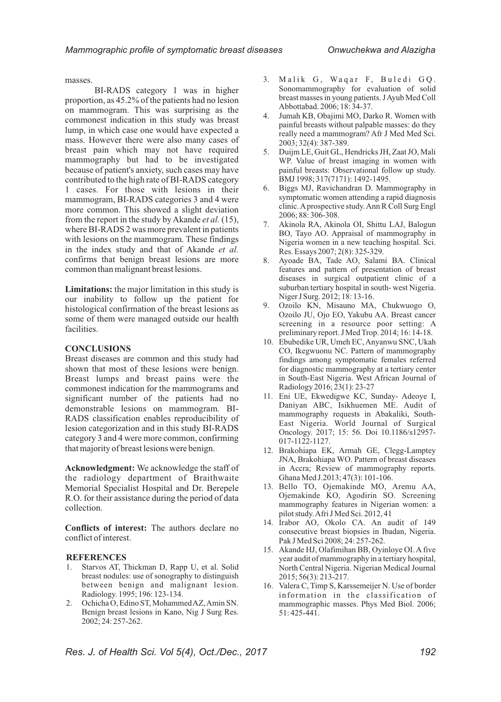masses.

BI-RADS category 1 was in higher proportion, as 45.2% of the patients had no lesion on mammogram. This was surprising as the commonest indication in this study was breast lump, in which case one would have expected a mass. However there were also many cases of breast pain which may not have required mammography but had to be investigated because of patient's anxiety, such cases may have contributed to the high rate of BI-RADS category 1 cases. For those with lesions in their mammogram, BI-RADS categories 3 and 4 were more common. This showed a slight deviation from the report in the study by Akande *et al.* (15), where BI-RADS 2 was more prevalent in patients with lesions on the mammogram. These findings in the index study and that of Akande *et al.* confirms that benign breast lesions are more common than malignant breast lesions.

**Limitations:** the major limitation in this study is our inability to follow up the patient for histological confirmation of the breast lesions as some of them were managed outside our health facilities.

## **CONCLUSIONS**

Breast diseases are common and this study had shown that most of these lesions were benign. Breast lumps and breast pains were the commonest indication for the mammograms and significant number of the patients had no demonstrable lesions on mammogram. BI-RADS classification enables reproducibility of lesion categorization and in this study BI-RADS category 3 and 4 were more common, confirming that majority of breast lesions were benign.

**Acknowledgment:** We acknowledge the staff of the radiology department of Braithwaite Memorial Specialist Hospital and Dr. Berepele R.O. for their assistance during the period of data collection.

**Conflicts of interest:** The authors declare no conflict of interest.

#### **REFERENCES**

- 1. Starvos AT, Thickman D, Rapp U, et al. Solid breast nodules: use of sonography to distinguish between benign and malignant lesion. Radiology. 1995; 196: 123-134.
- 2. Ochicha O, Edino ST, Mohammed AZ, Amin SN. Benign breast lesions in Kano, Nig J Surg Res. 2002; 24: 257-262.
- 3. Malik G, Waqar F, Buledi GQ. Sonomammography for evaluation of solid breast masses in young patients. J Ayub Med Coll Abbottabad. 2006; 18: 34-37.
- 4. Jumah KB, Obajimi MO, Darko R. Women with painful breasts without palpable masses: do they really need a mammogram? Afr J Med Med Sci. 2003; 32(4): 387-389.
- 5. Duijm LE, Guit GL, Hendricks JH, Zaat JO, Mali WP. Value of breast imaging in women with painful breasts: Observational follow up study. BMJ 1998; 317(7171): 1492-1495.
- 6. Biggs MJ, Ravichandran D. Mammography in symptomatic women attending a rapid diagnosis clinic. Aprospective study. Ann R Coll Surg Engl 2006; 88: 306-308.
- 7. Akinola RA, Akinola OI, Shittu LAJ, Balogun BO, Tayo AO. Appraisal of mammography in Nigeria women in a new teaching hospital. Sci. Res. Essays 2007; 2(8): 325-329.
- 8. Ayoade BA, Tade AO, Salami BA. Clinical features and pattern of presentation of breast diseases in surgical outpatient clinic of a suburban tertiary hospital in south- west Nigeria. Niger J Surg. 2012; 18: 13-16.
- 9. Ozoilo KN, Misauno MA, Chukwuogo O, Ozoilo JU, Ojo EO, Yakubu AA. Breast cancer screening in a resource poor setting: A preliminary report. J Med Trop. 2014; 16: 14-18.
- 10. Ebubedike UR, Umeh EC, Anyanwu SNC, Ukah CO, Ikegwuonu NC. Pattern of mammography findings among symptomatic females referred for diagnostic mammography at a tertiary center in South-East Nigeria. West African Journal of Radiology 2016; 23(1): 23-27
- 11. Eni UE, Ekwedigwe KC, Sunday- Adeoye I, Daniyan ABC, Isikhuemen ME. Audit of mammography requests in Abakaliki, South-East Nigeria. World Journal of Surgical Oncology. 2017; 15: 56. Doi 10.1186/s12957- 017-1122-1127.
- 12. Brakohiapa EK, Armah GE, Clegg-Lamptey JNA, Brakohiapa WO. Pattern of breast diseases in Accra; Review of mammography reports. Ghana Med J.2013; 47(3): 101-106.
- 13. Bello TO, Ojemakinde MO, Aremu AA, Ojemakinde KO, Agodirin SO. Screening mammography features in Nigerian women: a pilot study. Afri J Med Sci. 2012, 41
- 14. Irabor AO, Okolo CA. An audit of 149 consecutive breast biopsies in Ibadan, Nigeria. Pak J Med Sci 2008; 24: 257-262.
- 15. Akande HJ, Olafimihan BB, Oyinloye OI. A five year audit of mammography in a tertiary hospital, North Central Nigeria. Nigerian Medical Journal 2015; 56(3): 213-217.
- 16. Valera C, Timp S, Karssemeijer N. Use of border information in the classification of mammographic masses. Phys Med Biol. 2006; 51: 425-441.